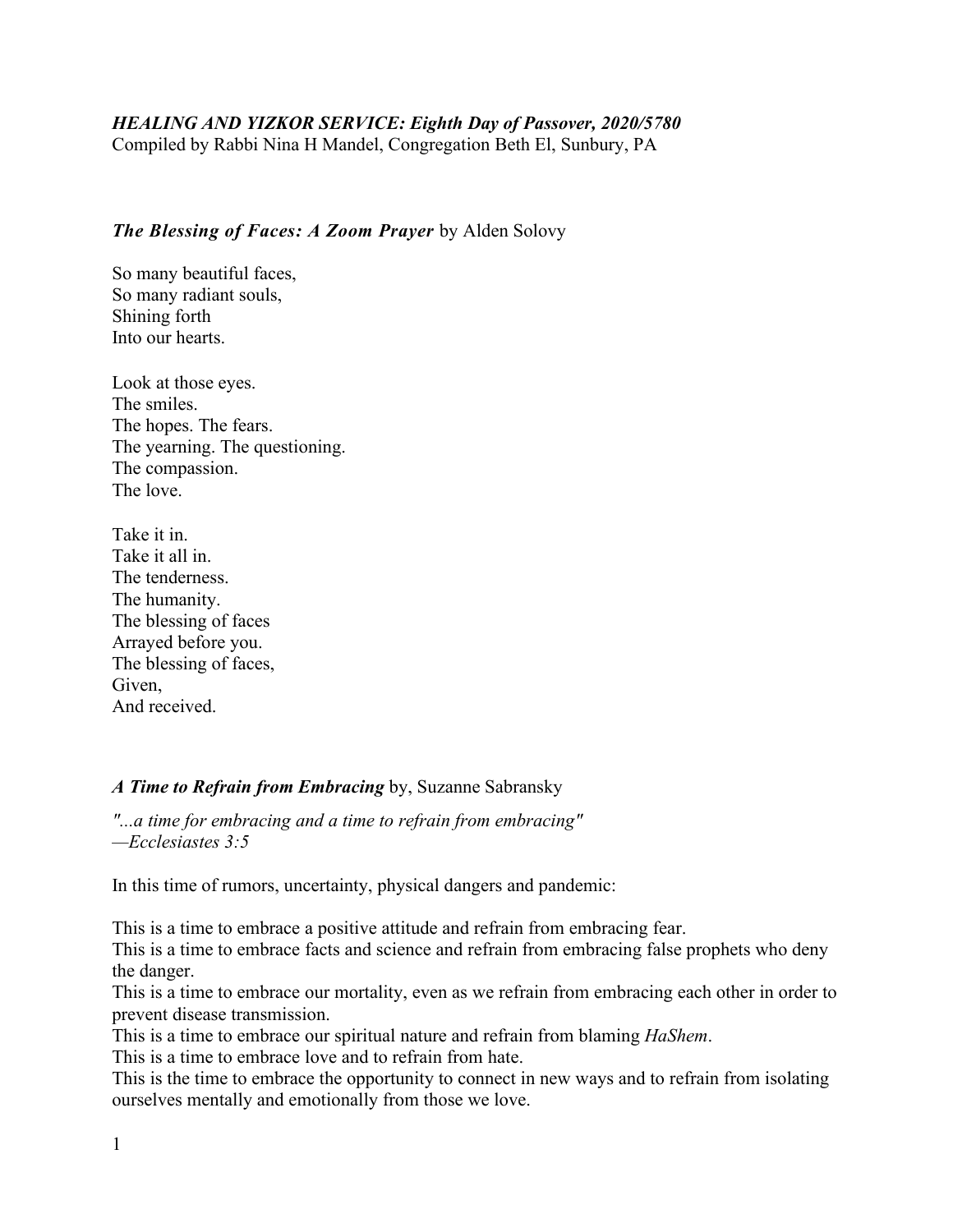# *HEALING AND YIZKOR SERVICE: Eighth Day of Passover, 2020/5780*

Compiled by Rabbi Nina H Mandel, Congregation Beth El, Sunbury, PA

# *The Blessing of Faces: A Zoom Prayer* by Alden [Solovy](https://www.ritualwell.org/user/9322)

So many beautiful faces, So many radiant souls, Shining forth Into our hearts.

Look at those eyes. The smiles. The hopes. The fears. The yearning. The questioning. The compassion. The love.

Take it in. Take it all in. The tenderness. The humanity. The blessing of faces Arrayed before you. The blessing of faces, Given, And received.

### *A Time to Refrain from Embracing* by, Suzanne [Sabransky](https://ritualwell.org/user/13632)

*"...a time for embracing and a time to refrain from embracing" —Ecclesiastes 3:5*

In this time of rumors, uncertainty, physical dangers and pandemic:

This is a time to embrace a positive attitude and refrain from embracing fear.

This is a time to embrace facts and science and refrain from embracing false prophets who deny the danger.

This is a time to embrace our mortality, even as we refrain from embracing each other in order to prevent disease transmission.

This is a time to embrace our spiritual nature and refrain from blaming *[HaShem](https://ritualwell.org/glossary/4/letterh#term225)*.

This is a time to embrace love and to refrain from hate.

This is the time to embrace the opportunity to connect in new ways and to refrain from isolating ourselves mentally and emotionally from those we love.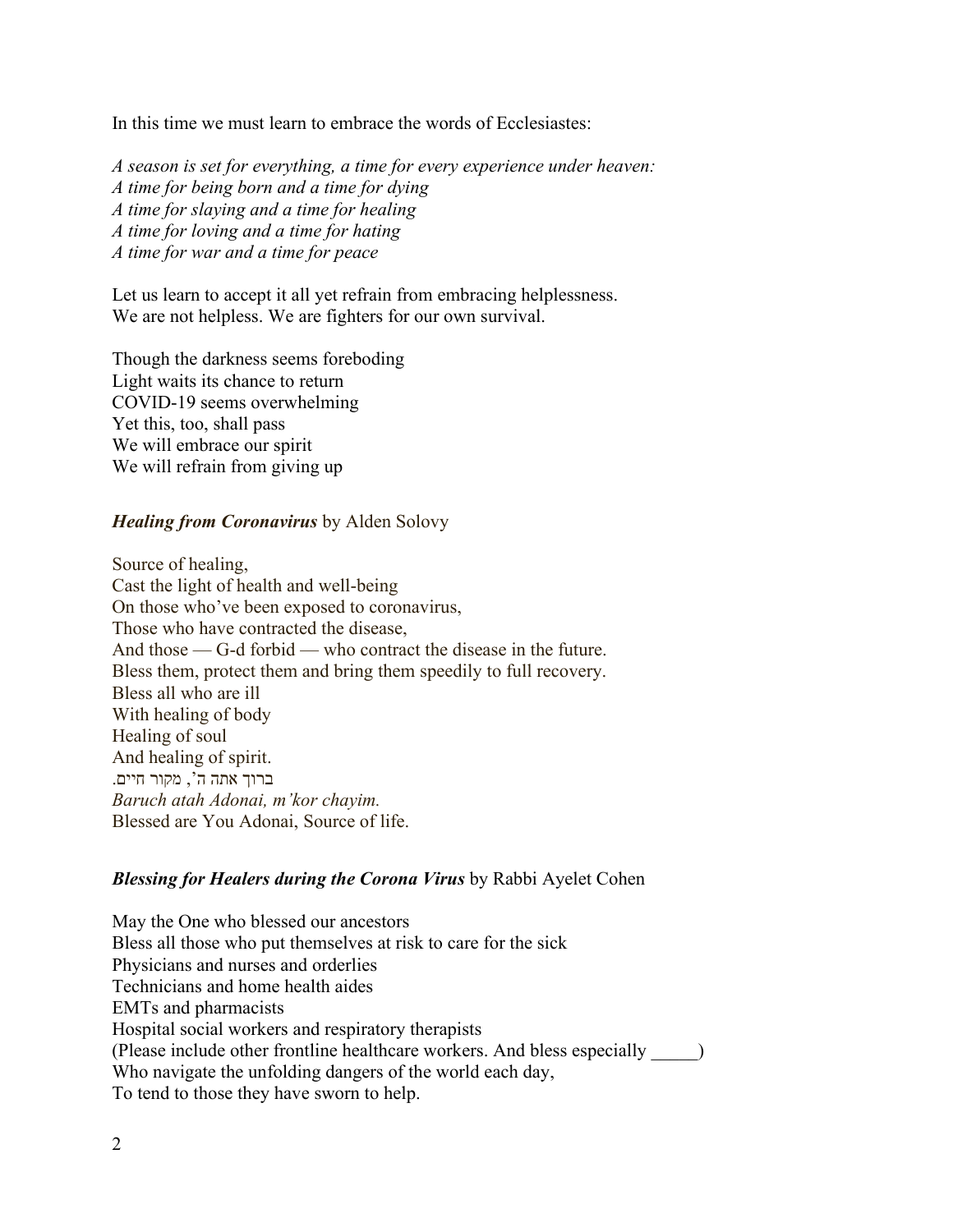In this time we must learn to embrace the words of Ecclesiastes:

*A season is set for everything, a time for every experience under heaven: A time for being born and a time for dying A time for slaying and a time for healing A time for loving and a time for hating A time for war and a time for peace*

Let us learn to accept it all yet refrain from embracing helplessness. We are not helpless. We are fighters for our own survival.

Though the darkness seems foreboding Light waits its chance to return COVID-19 seems overwhelming Yet this, too, shall pass We will embrace our spirit We will refrain from giving up

#### *Healing from Coronavirus* by Alden Solovy

Source of healing, Cast the light of health and well-being On those who've been exposed to coronavirus, Those who have contracted the disease, And those — G-d forbid — who contract the disease in the future. Bless them, protect them and bring them speedily to full recovery. Bless all who are ill With healing of body Healing of soul And healing of spirit. ברוך אתה ה', מקור חיים . *Baruch atah Adonai, m'kor chayim.* Blessed are You Adonai, Source of life.

#### *Blessing for Healers during the Corona Virus* by Rabbi Ayelet Cohen

May the One who blessed our ancestors Bless all those who put themselves at risk to care for the sick Physicians and nurses and orderlies Technicians and home health aides EMTs and pharmacists Hospital social workers and respiratory therapists (Please include other frontline healthcare workers. And bless especially \_\_\_\_\_) Who navigate the unfolding dangers of the world each day, To tend to those they have sworn to help.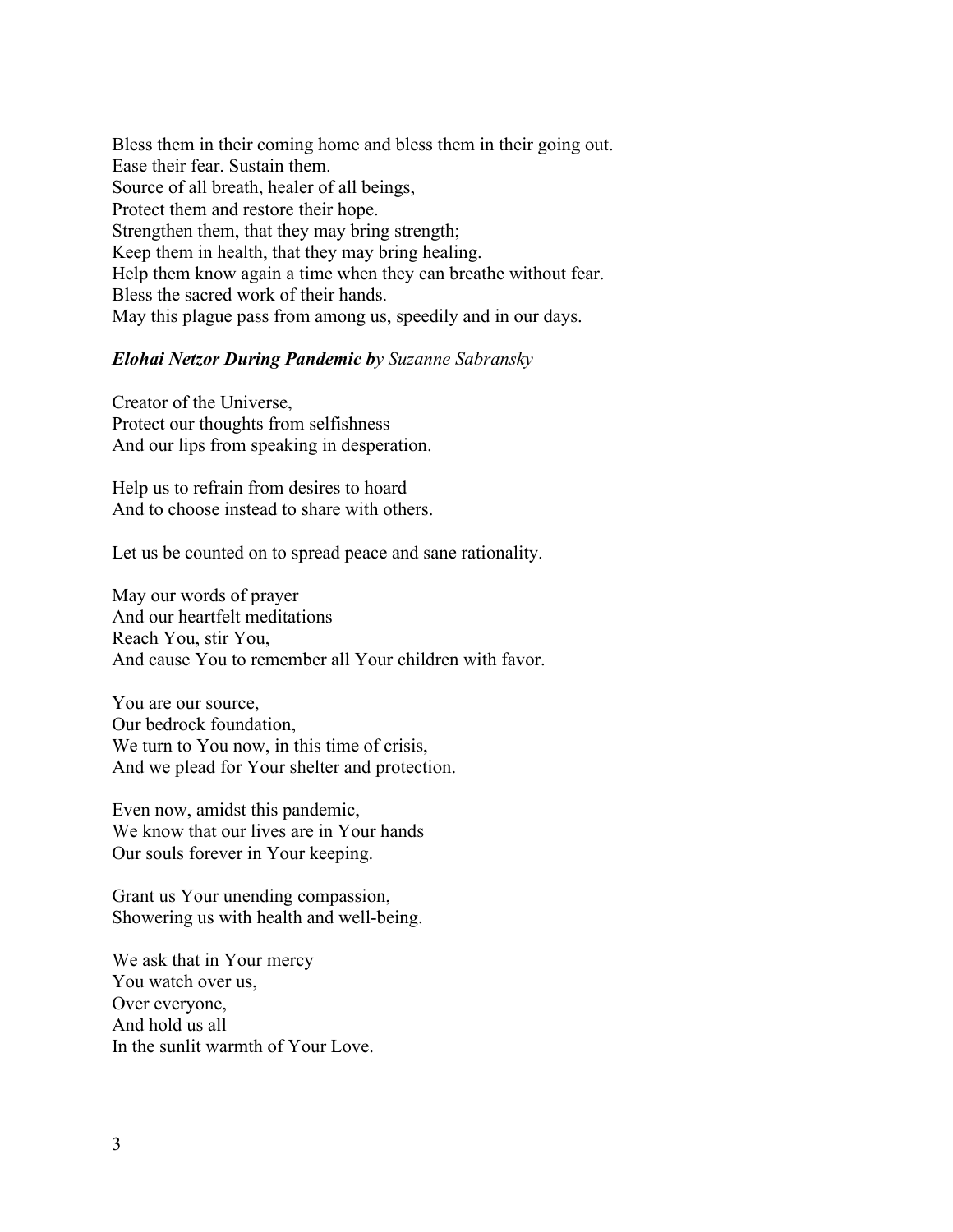Bless them in their coming home and bless them in their going out. Ease their fear. Sustain them. Source of all breath, healer of all beings, Protect them and restore their hope. Strengthen them, that they may bring strength; Keep them in health, that they may bring healing. Help them know again a time when they can breathe without fear. Bless the sacred work of their hands. May this plague pass from among us, speedily and in our days.

#### *Elohai Netzor During Pandemic by Suzanne [Sabransky](https://www.ritualwell.org/user/13632)*

Creator of the Universe, Protect our thoughts from selfishness And our lips from speaking in desperation.

Help us to refrain from desires to hoard And to choose instead to share with others.

Let us be counted on to spread peace and sane rationality.

May our words of prayer And our heartfelt meditations Reach You, stir You, And cause You to remember all Your children with favor.

You are our source, Our bedrock foundation, We turn to You now, in this time of crisis, And we plead for Your shelter and protection.

Even now, amidst this pandemic, We know that our lives are in Your hands Our souls forever in Your keeping.

Grant us Your unending compassion, Showering us with health and well-being.

We ask that in Your mercy You watch over us, Over everyone, And hold us all In the sunlit warmth of Your Love.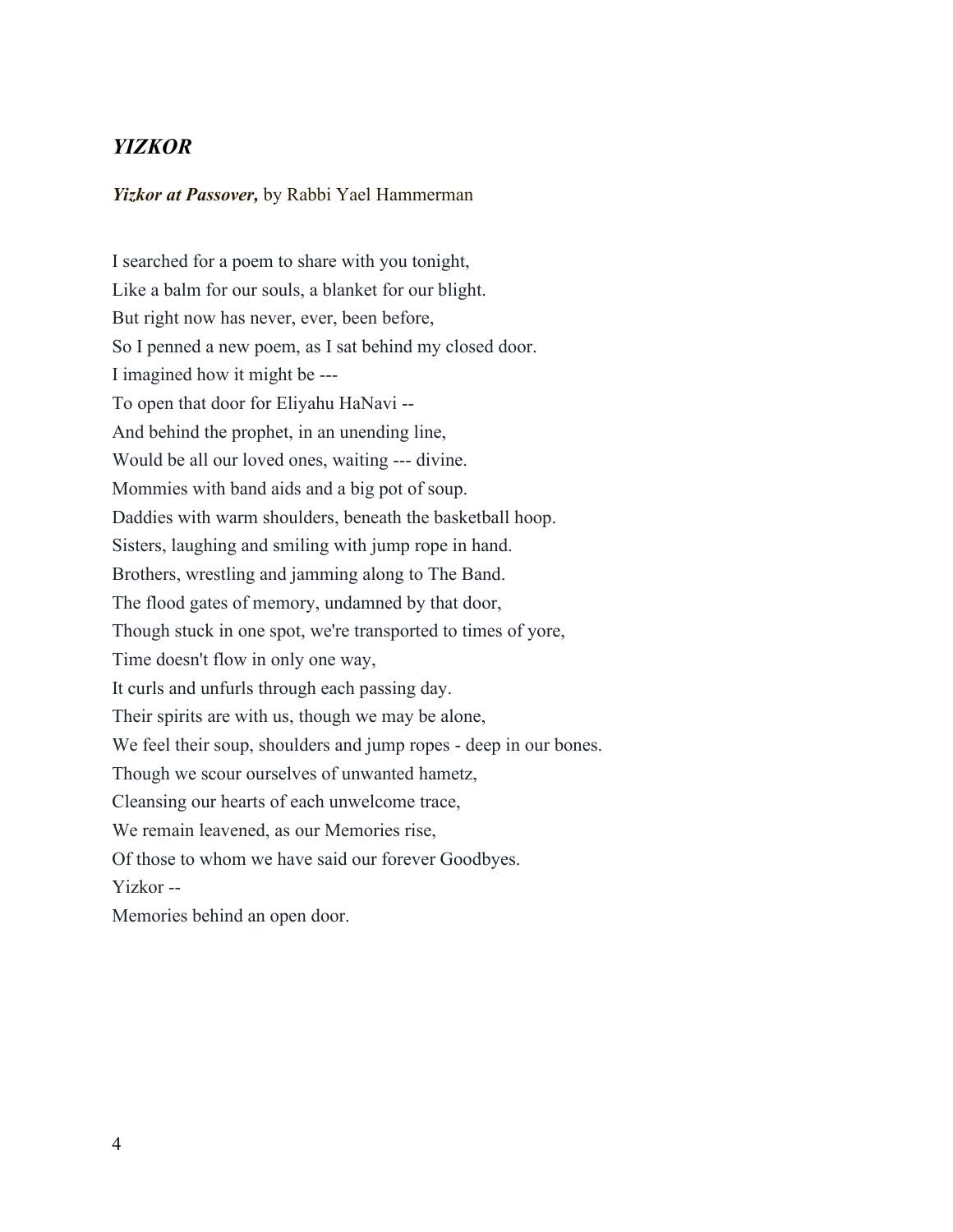# *YIZKOR*

*Yizkor at Passover,* by Rabbi Yael Hammerman

I searched for a poem to share with you tonight, Like a balm for our souls, a blanket for our blight. But right now has never, ever, been before, So I penned a new poem, as I sat behind my closed door. I imagined how it might be --- To open that door for Eliyahu HaNavi -- And behind the prophet, in an unending line, Would be all our loved ones, waiting --- divine. Mommies with band aids and a big pot of soup. Daddies with warm shoulders, beneath the basketball hoop. Sisters, laughing and smiling with jump rope in hand. Brothers, wrestling and jamming along to The Band. The flood gates of memory, undamned by that door, Though stuck in one spot, we're transported to times of yore, Time doesn't flow in only one way, It curls and unfurls through each passing day. Their spirits are with us, though we may be alone, We feel their soup, shoulders and jump ropes - deep in our bones. Though we scour ourselves of unwanted hametz, Cleansing our hearts of each unwelcome trace, We remain leavened, as our Memories rise, Of those to whom we have said our forever Goodbyes. Yizkor -- Memories behind an open door.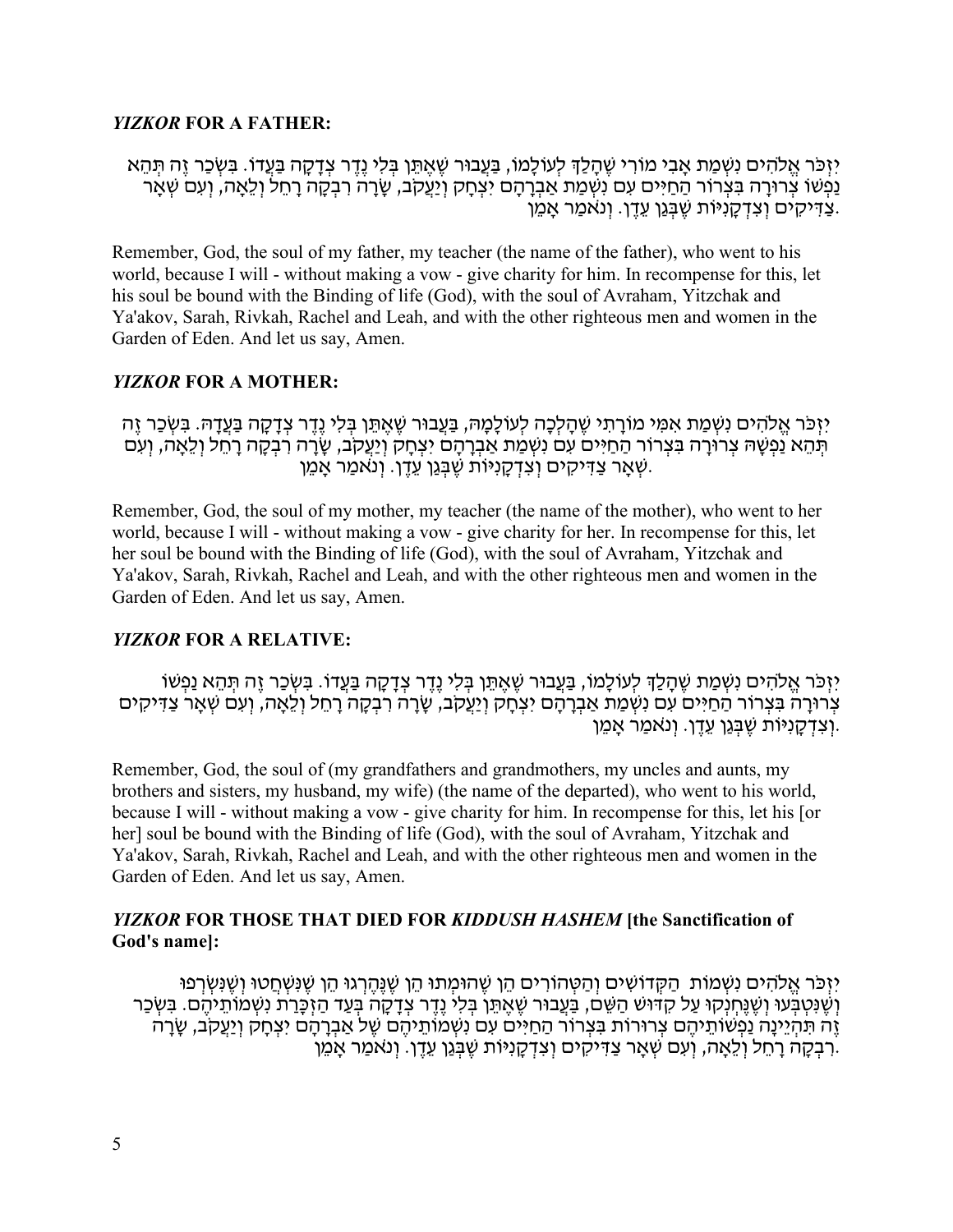### *YIZKOR* **FOR A FATHER:**

יִזְכֹּר אֵלֹהִים נִשְׁמַת אָבִי מוֹרִי שֵׁהָלַךְ לְעוֹלָמוֹ, בַּעֲבוּר שֵׁאֵתֵּן בִּלִי נֵדֵר צִדָּקָה בַּעֲדוֹ. בִּשְׂכַר זֶה תִּהֵא ַנַּפְשׁוֹ צְרוּרָה בִּצְרוֹר הַחַיִּים עִם נְשְׁמַת אַבְרָהָם יִצְחָק וְיַעֲקֹב, שָׂרָה רְבְקָה רָחֵל וְלֵאָה, וְעִם שְׁאָר ַ צַדְּיקִים וְצִדְקַנִיּוֹת שֶׁבְּגֵן עֵדֵן. וְנֹאמַר אַמֵן.

Remember, God, the soul of my father, my teacher (the name of the father), who went to his world, because I will - without making a vow - give charity for him. In recompense for this, let his soul be bound with the Binding of life (God), with the soul of Avraham, Yitzchak and Ya'akov, Sarah, Rivkah, Rachel and Leah, and with the other righteous men and women in the Garden of Eden. And let us say, Amen.

# *YIZKOR* **FOR A MOTHER:**

יִזְכֹּר אֱלֹהִים נִשְׁמַת אִמִּי מוֹרַתִי שֵׁהַלְכָה לְעוֹלָמָהּ, בַּעֲבוּר שֵׁאֲתֵּן בְּלִי נֵדֵר צִדָּקָה בַּעֲדָהּ. בִּשְׂכַר זֶה תְּהֶא נַפְשָׁהּ צְרוּרָה בִּצְרוֹר הַחַיִּים עִם נִשְׁמַת אֲבְרָהָם יִצְחַק וְיַעֲקֹב, שַׂרַה רְבְקָה רַחֲל וְלֵאֲה, וְעִם ְשָׁ אָר צַדִּיקִים וְצִדְקָנִיּוֹת שֶׁבְּגַן עֵדֶן. וְנֹאמַר אָמֶן.

Remember, God, the soul of my mother, my teacher (the name of the mother), who went to her world, because I will - without making a vow - give charity for her. In recompense for this, let her soul be bound with the Binding of life (God), with the soul of Avraham, Yitzchak and Ya'akov, Sarah, Rivkah, Rachel and Leah, and with the other righteous men and women in the Garden of Eden. And let us say, Amen.

### *YIZKOR* **FOR A RELATIVE:**

יִזְכֹּר אֱלֹהִים נִשְׁמַת שֵׁהָלַךְ לְעוֹלָמוֹ, בַּעֲבוּר שֵׁאֵתֵּן בִּלִי נֵדֵר צְדָקָה בַּעֲדוֹ. בִּשְׂכַר זֶה תְּהֵא נַפְשׁוֹ ְ צְרוּרָה בִּצְרוֹר הַחַיִּים עִם נִשְׁמַת אַבְרָהָם יִצְחָק וְיַעֲקֹב, שָׂרָה רִבְקָה רָחֵל וְלֵאָה, וְעִם שְׁאָר צַדִּיקִים וְ יִנְ דְ קַנִיּוֹת שֶׁבְּגֵן עֵדֶן. וְנאמַר אַמֵן.

Remember, God, the soul of (my grandfathers and grandmothers, my uncles and aunts, my brothers and sisters, my husband, my wife) (the name of the departed), who went to his world, because I will - without making a vow - give charity for him. In recompense for this, let his [or her] soul be bound with the Binding of life (God), with the soul of Avraham, Yitzchak and Ya'akov, Sarah, Rivkah, Rachel and Leah, and with the other righteous men and women in the Garden of Eden. And let us say, Amen.

# *YIZKOR* **FOR THOSE THAT DIED FOR** *KIDDUSH HASHEM* **[the Sanctification of God's name]:**

יִזְכֹּר אֱלֹהִים נִשְׁמוֹת הַקְּדוֹשִׁים וְהַטְּהוֹרִים הֵן שֵׁהוּמִתוּ הֵן שֵׁנֵּהֵרְגוּ הֵן שֵׁנְּשְׂחֲטוּ וְשֵׁנִּשְׂרְפוּ וְשֶׁנְּטְבְּעוּ וְשֶׁנֵּחְנְקוּ עַל קָדּוּשׁ הַשֶּׁם, בַּעֲבוּר שֶׁאֱתֵּן בְּלִי נֶדֶר צְדָקָה בְּעֵד הַזְכַּרַת נִשְׁמוֹתֵיהֶם. בִּשְׂכַר ַזֶּה תִּהְיֵינַה נַפְשׁוֹתֵיהֶם צְרוּרוֹת בִּצְרוֹר הַחַיִּים עָם נִשְׁמוֹתֵיהֶם שֶׁל אַבְרָהָם יִצְחַק וְיַעֲקֹב, שָׂרַה .רִבְקָה רַחֵל וְלֵאֲה, וְעָם שְׁאַר צַדִּיקִים וְצִדְקָנִיּוֹת שֶׁבְּגֵן עֵדֶן. וְנאֹמַר אֲמֶן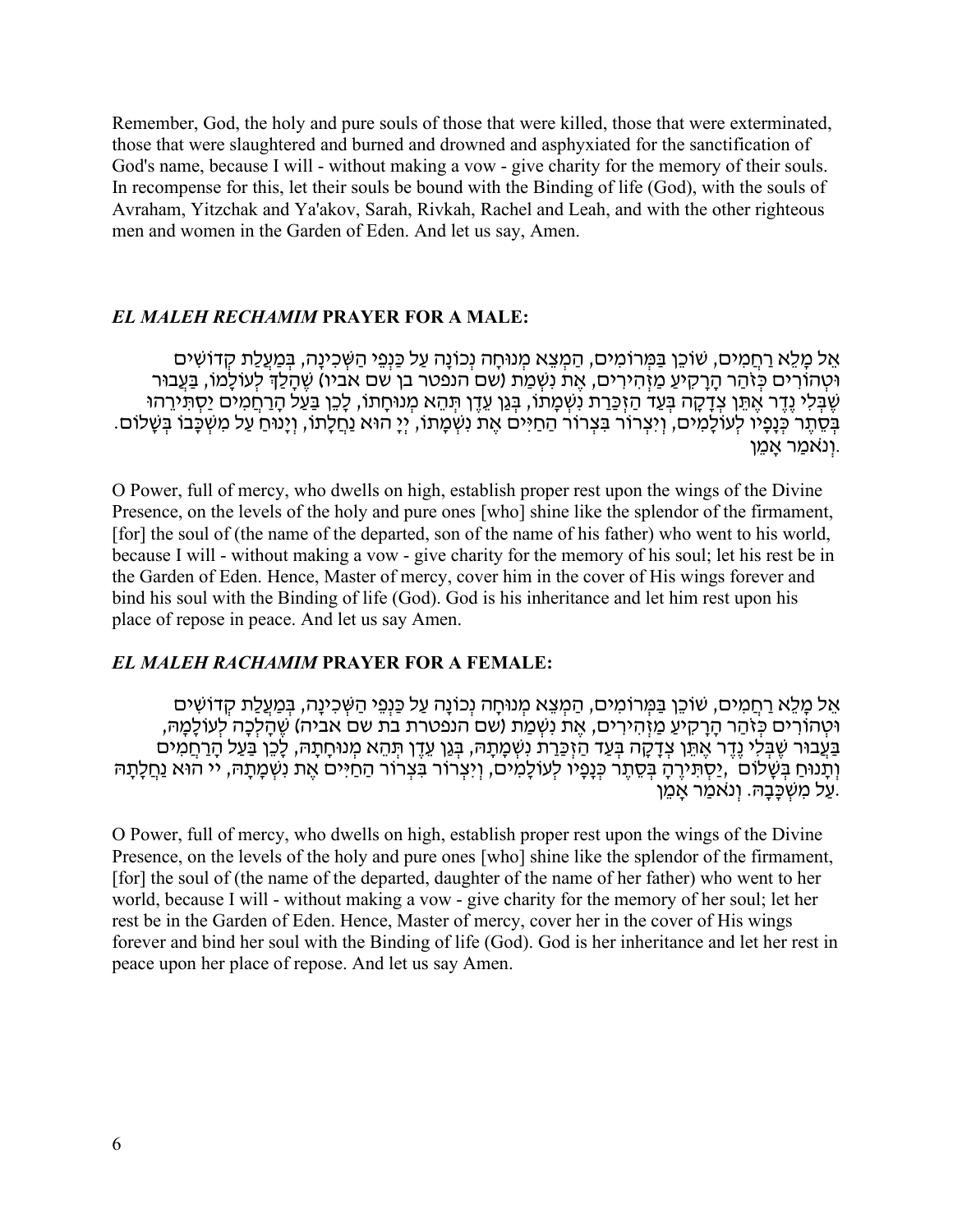Remember, God, the holy and pure souls of those that were killed, those that were exterminated, those that were slaughtered and burned and drowned and asphyxiated for the sanctification of God's name, because I will - without making a vow - give charity for the memory of their souls. In recompense for this, let their souls be bound with the Binding of life (God), with the souls of Avraham, Yitzchak and Ya'akov, Sarah, Rivkah, Rachel and Leah, and with the other righteous men and women in the Garden of Eden. And let us say, Amen.

#### *EL MALEH RECHAMIM* **PRAYER FOR A MALE:**

אֵל מַלֵא רַחֲמִים, שׁוֹכֵן בַּמְּרוֹמִים, הַמִצֵא מְנוּחַה נְכוֹנַה עַל כַּנְפֵי הַשִּׁכְינַה, בְּמַעֲלַת קָדוֹשִׁים וּטְהוֹרִים כְּזֹהַר הַרַקִיעַ מַזְהִירִים, אֶת נִשְׁמַת (שם הנפטר בן שם אביו) שֶׁהַלַּךְ לְעוֹלָמוֹ, בַּעֲבוּר שֶׁבָּלִי נֵדֶר אֶתֵּן צִדָּקָה בְּעַד הַזְכַּרַת נִשְׁמָתוֹ, בְּגַן עֵדֶן תְּהֵא מְנוּחָתוֹ, לָכֵן בַּעַל הָרַחֲמִים יַסְתִּירֵהוּ בְּסֶתֶר כְּנָפָיו לְעוֹלָמִים, וְיִצְרוֹר בִּצְרוֹר הַחַיִּים אֶת נִשְׁמָתוֹ, יְיָ הוּא נַחֲלָתוֹ, וְיָנוּחַ עַל מִשְׁכָּבוֹ בִּשָּׁלוֹם. וְנֹאמַר אַמֵן.

O Power, full of mercy, who dwells on high, establish proper rest upon the wings of the Divine Presence, on the levels of the holy and pure ones [who] shine like the splendor of the firmament, [for] the soul of (the name of the departed, son of the name of his father) who went to his world, because I will - without making a vow - give charity for the memory of his soul; let his rest be in the Garden of Eden. Hence, Master of mercy, cover him in the cover of His wings forever and bind his soul with the Binding of life (God). God is his inheritance and let him rest upon his place of repose in peace. And let us say Amen.

#### *EL MALEH RACHAMIM* **PRAYER FOR A FEMALE:**

אֵל מַלֵא רַחֲמִים, שׁוֹכֵן בַּמְּרוֹמִים, הַמְצֵא מְנוּחַה נְכוֹנַה עַל כַּנְפֵי הַשְּׁכִינַה, בְּמֵעֲלַת קָדוֹשִׁים וּטְ הוֹרִ ים כְּ זֹהַ ר הָ רָ קִ יעַ מַ זְ הִ ירִ ים, אֶ ת נִשְׁ מַ ת (שם הנפטרת בת שם אביה) שֶׁ הָ לְכָה לְעוֹלָמָ הּ, ַבְּעֲבוּר שֶׁבְּלִי נֵדֶר אֶתֵּן צְדָקָה בְּעַד הַזְכַּרַת נְשְׁמָתָהּ, בְּגֵן עֵדֶן תְּהֶא מְנוּחָתָהּ, לָכֶן בַּעַל הָרַחֲמִים וְתָנוּחַ בְּשֶׁלוֹם ,יַסְתִּירֶהַ בְּסֶתֶר כְּנָפָיו לְעוֹלָמִים, וְיִצְרוֹר בִּצְרוֹר הַחַיִּים אֶת נִשְׁמַתַהּ, יי הוּא נַחֲלָתַהּ ַ עַל מִשְׁכַּבָהּ. וְנאמַר אַמֵן.

O Power, full of mercy, who dwells on high, establish proper rest upon the wings of the Divine Presence, on the levels of the holy and pure ones [who] shine like the splendor of the firmament, [for] the soul of (the name of the departed, daughter of the name of her father) who went to her world, because I will - without making a vow - give charity for the memory of her soul; let her rest be in the Garden of Eden. Hence, Master of mercy, cover her in the cover of His wings forever and bind her soul with the Binding of life (God). God is her inheritance and let her rest in peace upon her place of repose. And let us say Amen.